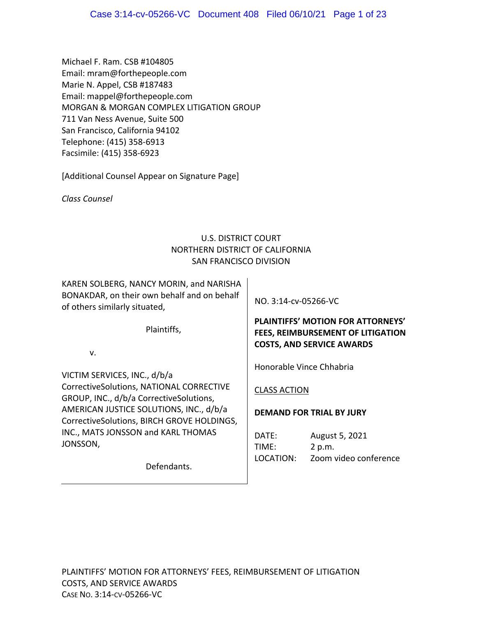Michael F. Ram. CSB #104805 Email: mram@forthepeople.com Marie N. Appel, CSB #187483 Email: mappel@forthepeople.com MORGAN & MORGAN COMPLEX LITIGATION GROUP 711 Van Ness Avenue, Suite 500 San Francisco, California 94102 Telephone: (415) 358‐6913 Facsimile: (415) 358‐6923

[Additional Counsel Appear on Signature Page]

*Class Counsel* 

# U.S. DISTRICT COURT NORTHERN DISTRICT OF CALIFORNIA SAN FRANCISCO DIVISION

KAREN SOLBERG, NANCY MORIN, and NARISHA BONAKDAR, on their own behalf and on behalf of others similarly situated,

Plaintiffs,

v.

VICTIM SERVICES, INC., d/b/a CorrectiveSolutions, NATIONAL CORRECTIVE GROUP, INC., d/b/a CorrectiveSolutions, AMERICAN JUSTICE SOLUTIONS, INC., d/b/a CorrectiveSolutions, BIRCH GROVE HOLDINGS, INC., MATS JONSSON and KARL THOMAS JONSSON,

Defendants.

NO. 3:14‐cv‐05266‐VC

# **PLAINTIFFS' MOTION FOR ATTORNEYS' FEES, REIMBURSEMENT OF LITIGATION COSTS, AND SERVICE AWARDS**

Honorable Vince Chhabria

CLASS ACTION

## **DEMAND FOR TRIAL BY JURY**

DATE: August 5, 2021 TIME: 2 p.m. LOCATION: Zoom video conference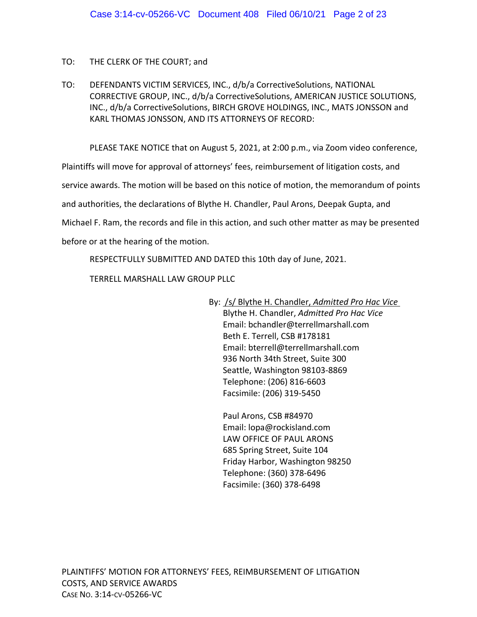## TO: THE CLERK OF THE COURT; and

TO: DEFENDANTS VICTIM SERVICES, INC., d/b/a CorrectiveSolutions, NATIONAL CORRECTIVE GROUP, INC., d/b/a CorrectiveSolutions, AMERICAN JUSTICE SOLUTIONS, INC., d/b/a CorrectiveSolutions, BIRCH GROVE HOLDINGS, INC., MATS JONSSON and KARL THOMAS JONSSON, AND ITS ATTORNEYS OF RECORD:

PLEASE TAKE NOTICE that on August 5, 2021, at 2:00 p.m., via Zoom video conference,

Plaintiffs will move for approval of attorneys' fees, reimbursement of litigation costs, and

service awards. The motion will be based on this notice of motion, the memorandum of points

and authorities, the declarations of Blythe H. Chandler, Paul Arons, Deepak Gupta, and

Michael F. Ram, the records and file in this action, and such other matter as may be presented

before or at the hearing of the motion.

RESPECTFULLY SUBMITTED AND DATED this 10th day of June, 2021.

TERRELL MARSHALL LAW GROUP PLLC

By: /s/ Blythe H. Chandler, *Admitted Pro Hac Vice* Blythe H. Chandler, *Admitted Pro Hac Vice* Email: bchandler@terrellmarshall.com Beth E. Terrell, CSB #178181 Email: bterrell@terrellmarshall.com 936 North 34th Street, Suite 300 Seattle, Washington 98103‐8869 Telephone: (206) 816‐6603 Facsimile: (206) 319‐5450

Paul Arons, CSB #84970 Email: lopa@rockisland.com LAW OFFICE OF PAUL ARONS 685 Spring Street, Suite 104 Friday Harbor, Washington 98250 Telephone: (360) 378‐6496 Facsimile: (360) 378‐6498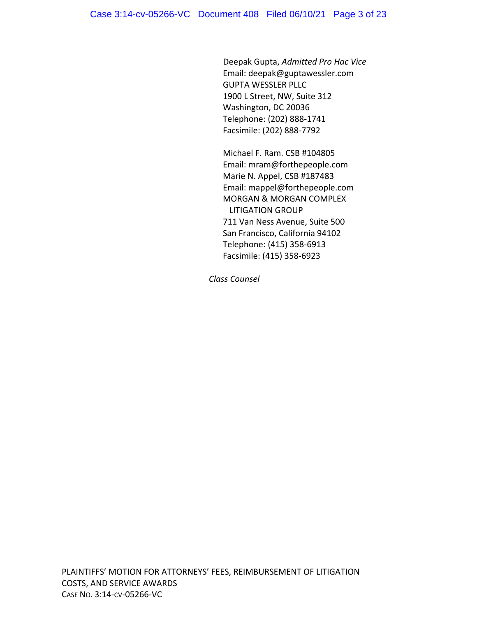Deepak Gupta, *Admitted Pro Hac Vice* Email: deepak@guptawessler.com GUPTA WESSLER PLLC 1900 L Street, NW, Suite 312 Washington, DC 20036 Telephone: (202) 888‐1741 Facsimile: (202) 888‐7792

Michael F. Ram. CSB #104805 Email: mram@forthepeople.com Marie N. Appel, CSB #187483 Email: mappel@forthepeople.com MORGAN & MORGAN COMPLEX LITIGATION GROUP 711 Van Ness Avenue, Suite 500 San Francisco, California 94102 Telephone: (415) 358‐6913 Facsimile: (415) 358‐6923

*Class Counsel*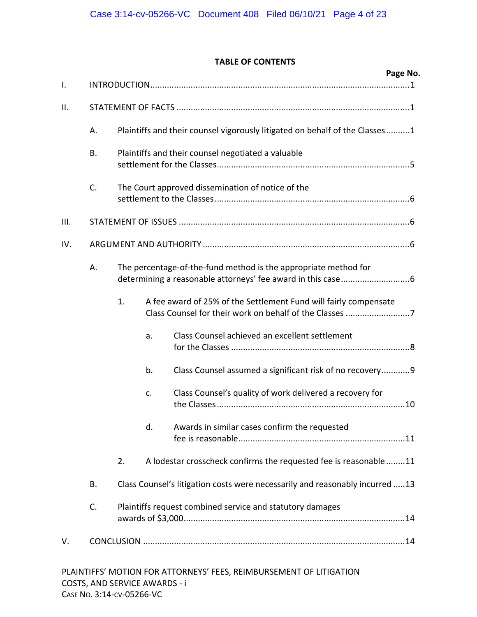## **TABLE OF CONTENTS**

| $\mathsf{I}$ . |    |                                                                              |                                                                  | Page No.                                                            |  |  |  |  |  |
|----------------|----|------------------------------------------------------------------------------|------------------------------------------------------------------|---------------------------------------------------------------------|--|--|--|--|--|
|                |    |                                                                              |                                                                  |                                                                     |  |  |  |  |  |
| ΙΙ.            |    |                                                                              |                                                                  |                                                                     |  |  |  |  |  |
|                | А. | Plaintiffs and their counsel vigorously litigated on behalf of the Classes1  |                                                                  |                                                                     |  |  |  |  |  |
|                | В. | Plaintiffs and their counsel negotiated a valuable                           |                                                                  |                                                                     |  |  |  |  |  |
|                | C. | The Court approved dissemination of notice of the                            |                                                                  |                                                                     |  |  |  |  |  |
| Ш.             |    |                                                                              |                                                                  |                                                                     |  |  |  |  |  |
| IV.            |    |                                                                              |                                                                  |                                                                     |  |  |  |  |  |
|                | А. | The percentage-of-the-fund method is the appropriate method for              |                                                                  |                                                                     |  |  |  |  |  |
|                |    | 1.                                                                           | A fee award of 25% of the Settlement Fund will fairly compensate |                                                                     |  |  |  |  |  |
|                |    |                                                                              | a.                                                               | Class Counsel achieved an excellent settlement                      |  |  |  |  |  |
|                |    |                                                                              | b.                                                               | Class Counsel assumed a significant risk of no recovery 9           |  |  |  |  |  |
|                |    |                                                                              | c.                                                               | Class Counsel's quality of work delivered a recovery for            |  |  |  |  |  |
|                |    |                                                                              | d.                                                               | Awards in similar cases confirm the requested                       |  |  |  |  |  |
|                |    | 2.                                                                           |                                                                  | A lodestar crosscheck confirms the requested fee is reasonable11    |  |  |  |  |  |
|                | В. | Class Counsel's litigation costs were necessarily and reasonably incurred 13 |                                                                  |                                                                     |  |  |  |  |  |
|                | C. | Plaintiffs request combined service and statutory damages                    |                                                                  |                                                                     |  |  |  |  |  |
| V.             |    |                                                                              |                                                                  |                                                                     |  |  |  |  |  |
|                |    |                                                                              |                                                                  | PLAINTIFFS' MOTION FOR ATTORNEYS' FEES, REIMBURSEMENT OF LITIGATION |  |  |  |  |  |

COSTS, AND SERVICE AWARDS ‐ i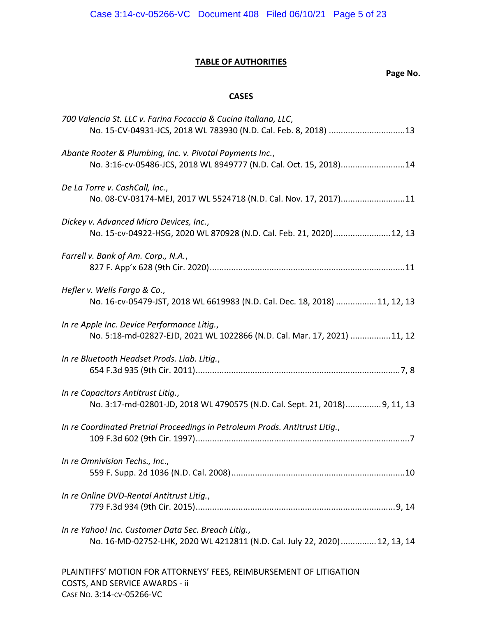# **TABLE OF AUTHORITIES**

# **Page No.**

# **CASES**

| 700 Valencia St. LLC v. Farina Focaccia & Cucina Italiana, LLC,<br>No. 15-CV-04931-JCS, 2018 WL 783930 (N.D. Cal. Feb. 8, 2018) 13 |
|------------------------------------------------------------------------------------------------------------------------------------|
| Abante Rooter & Plumbing, Inc. v. Pivotal Payments Inc.,<br>No. 3:16-cv-05486-JCS, 2018 WL 8949777 (N.D. Cal. Oct. 15, 2018)14     |
| De La Torre v. CashCall, Inc.,<br>No. 08-CV-03174-MEJ, 2017 WL 5524718 (N.D. Cal. Nov. 17, 2017)11                                 |
| Dickey v. Advanced Micro Devices, Inc.,<br>No. 15-cv-04922-HSG, 2020 WL 870928 (N.D. Cal. Feb. 21, 2020) 12, 13                    |
| Farrell v. Bank of Am. Corp., N.A.,                                                                                                |
| Hefler v. Wells Fargo & Co.,<br>No. 16-cv-05479-JST, 2018 WL 6619983 (N.D. Cal. Dec. 18, 2018)  11, 12, 13                         |
| In re Apple Inc. Device Performance Litig.,<br>No. 5:18-md-02827-EJD, 2021 WL 1022866 (N.D. Cal. Mar. 17, 2021) 11, 12             |
| In re Bluetooth Headset Prods. Liab. Litig.,                                                                                       |
| In re Capacitors Antitrust Litig.,<br>No. 3:17-md-02801-JD, 2018 WL 4790575 (N.D. Cal. Sept. 21, 2018)9, 11, 13                    |
| In re Coordinated Pretrial Proceedings in Petroleum Prods. Antitrust Litig.,                                                       |
| In re Omnivision Techs., Inc.,                                                                                                     |
| In re Online DVD-Rental Antitrust Litig.,                                                                                          |
| In re Yahoo! Inc. Customer Data Sec. Breach Litig.,<br>No. 16-MD-02752-LHK, 2020 WL 4212811 (N.D. Cal. July 22, 2020) 12, 13, 14   |
| PLAINTIFFS' MOTION FOR ATTORNEYS' FEES, REIMBURSEMENT OF LITIGATION                                                                |

COSTS, AND SERVICE AWARDS ‐ ii

CASE NO. 3:14‐CV‐05266‐VC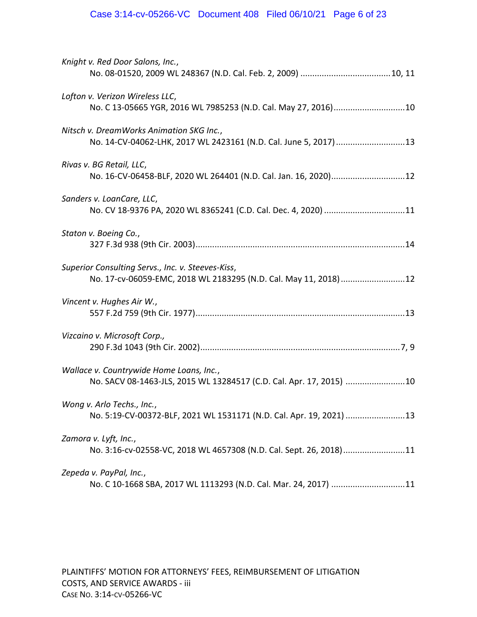| Knight v. Red Door Salons, Inc.,                                                                                     |
|----------------------------------------------------------------------------------------------------------------------|
| Lofton v. Verizon Wireless LLC,<br>No. C 13-05665 YGR, 2016 WL 7985253 (N.D. Cal. May 27, 2016)10                    |
| Nitsch v. DreamWorks Animation SKG Inc.,<br>No. 14-CV-04062-LHK, 2017 WL 2423161 (N.D. Cal. June 5, 2017)  13        |
| Rivas v. BG Retail, LLC,<br>No. 16-CV-06458-BLF, 2020 WL 264401 (N.D. Cal. Jan. 16, 2020)12                          |
| Sanders v. LoanCare, LLC,<br>No. CV 18-9376 PA, 2020 WL 8365241 (C.D. Cal. Dec. 4, 2020) 11                          |
| Staton v. Boeing Co.,                                                                                                |
| Superior Consulting Servs., Inc. v. Steeves-Kiss,<br>No. 17-cv-06059-EMC, 2018 WL 2183295 (N.D. Cal. May 11, 2018)12 |
| Vincent v. Hughes Air W.,                                                                                            |
| Vizcaino v. Microsoft Corp.,                                                                                         |
| Wallace v. Countrywide Home Loans, Inc.,<br>No. SACV 08-1463-JLS, 2015 WL 13284517 (C.D. Cal. Apr. 17, 2015) 10      |
| Wong v. Arlo Techs., Inc.,<br>No. 5:19-CV-00372-BLF, 2021 WL 1531171 (N.D. Cal. Apr. 19, 2021) 13                    |
| Zamora v. Lyft, Inc.,<br>No. 3:16-cv-02558-VC, 2018 WL 4657308 (N.D. Cal. Sept. 26, 2018)11                          |
| Zepeda v. PayPal, Inc.,<br>No. C 10-1668 SBA, 2017 WL 1113293 (N.D. Cal. Mar. 24, 2017) 11                           |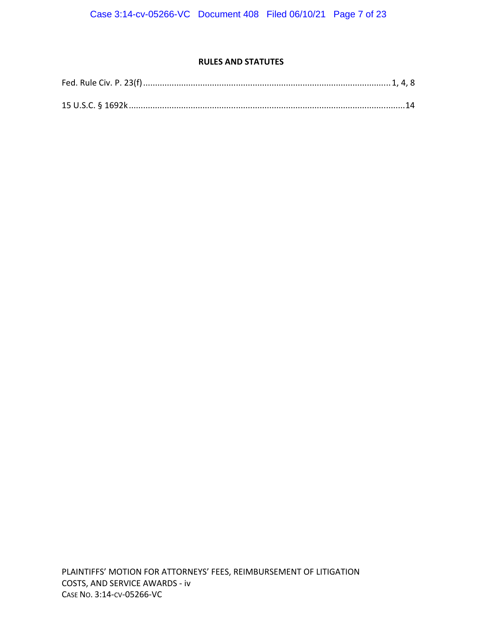## **RULES AND STATUTES**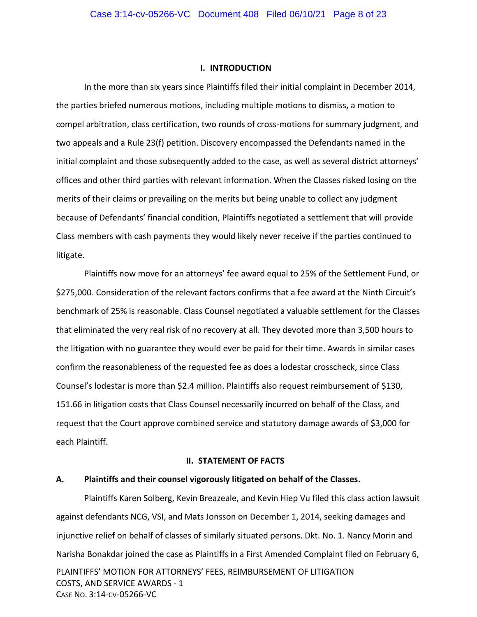### **I. INTRODUCTION**

In the more than six years since Plaintiffs filed their initial complaint in December 2014, the parties briefed numerous motions, including multiple motions to dismiss, a motion to compel arbitration, class certification, two rounds of cross-motions for summary judgment, and two appeals and a Rule 23(f) petition. Discovery encompassed the Defendants named in the initial complaint and those subsequently added to the case, as well as several district attorneys' offices and other third parties with relevant information. When the Classes risked losing on the merits of their claims or prevailing on the merits but being unable to collect any judgment because of Defendants' financial condition, Plaintiffs negotiated a settlement that will provide Class members with cash payments they would likely never receive if the parties continued to litigate.

Plaintiffs now move for an attorneys' fee award equal to 25% of the Settlement Fund, or \$275,000. Consideration of the relevant factors confirms that a fee award at the Ninth Circuit's benchmark of 25% is reasonable. Class Counsel negotiated a valuable settlement for the Classes that eliminated the very real risk of no recovery at all. They devoted more than 3,500 hours to the litigation with no guarantee they would ever be paid for their time. Awards in similar cases confirm the reasonableness of the requested fee as does a lodestar crosscheck, since Class Counsel's lodestar is more than \$2.4 million. Plaintiffs also request reimbursement of \$130, 151.66 in litigation costs that Class Counsel necessarily incurred on behalf of the Class, and request that the Court approve combined service and statutory damage awards of \$3,000 for each Plaintiff.

#### **II. STATEMENT OF FACTS**

## **A. Plaintiffs and their counsel vigorously litigated on behalf of the Classes.**

PLAINTIFFS' MOTION FOR ATTORNEYS' FEES, REIMBURSEMENT OF LITIGATION COSTS, AND SERVICE AWARDS ‐ 1 CASE NO. 3:14‐CV‐05266‐VC Plaintiffs Karen Solberg, Kevin Breazeale, and Kevin Hiep Vu filed this class action lawsuit against defendants NCG, VSI, and Mats Jonsson on December 1, 2014, seeking damages and injunctive relief on behalf of classes of similarly situated persons. Dkt. No. 1. Nancy Morin and Narisha Bonakdar joined the case as Plaintiffs in a First Amended Complaint filed on February 6,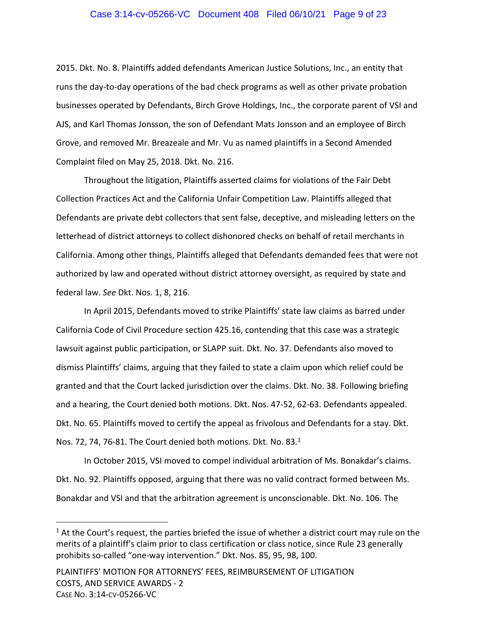## Case 3:14-cv-05266-VC Document 408 Filed 06/10/21 Page 9 of 23

2015. Dkt. No. 8. Plaintiffs added defendants American Justice Solutions, Inc., an entity that runs the day‐to‐day operations of the bad check programs as well as other private probation businesses operated by Defendants, Birch Grove Holdings, Inc., the corporate parent of VSI and AJS, and Karl Thomas Jonsson, the son of Defendant Mats Jonsson and an employee of Birch Grove, and removed Mr. Breazeale and Mr. Vu as named plaintiffs in a Second Amended Complaint filed on May 25, 2018. Dkt. No. 216.

Throughout the litigation, Plaintiffs asserted claims for violations of the Fair Debt Collection Practices Act and the California Unfair Competition Law. Plaintiffs alleged that Defendants are private debt collectors that sent false, deceptive, and misleading letters on the letterhead of district attorneys to collect dishonored checks on behalf of retail merchants in California. Among other things, Plaintiffs alleged that Defendants demanded fees that were not authorized by law and operated without district attorney oversight, as required by state and federal law. *See* Dkt. Nos. 1, 8, 216.

In April 2015, Defendants moved to strike Plaintiffs' state law claims as barred under California Code of Civil Procedure section 425.16, contending that this case was a strategic lawsuit against public participation, or SLAPP suit. Dkt. No. 37. Defendants also moved to dismiss Plaintiffs' claims, arguing that they failed to state a claim upon which relief could be granted and that the Court lacked jurisdiction over the claims. Dkt. No. 38. Following briefing and a hearing, the Court denied both motions. Dkt. Nos. 47‐52, 62‐63. Defendants appealed. Dkt. No. 65. Plaintiffs moved to certify the appeal as frivolous and Defendants for a stay. Dkt. Nos. 72, 74, 76-81. The Court denied both motions. Dkt. No. 83.<sup>1</sup>

In October 2015, VSI moved to compel individual arbitration of Ms. Bonakdar's claims. Dkt. No. 92. Plaintiffs opposed, arguing that there was no valid contract formed between Ms. Bonakdar and VSI and that the arbitration agreement is unconscionable. Dkt. No. 106. The

 $<sup>1</sup>$  At the Court's request, the parties briefed the issue of whether a district court may rule on the</sup> merits of a plaintiff's claim prior to class certification or class notice, since Rule 23 generally prohibits so‐called "one‐way intervention." Dkt. Nos. 85, 95, 98, 100.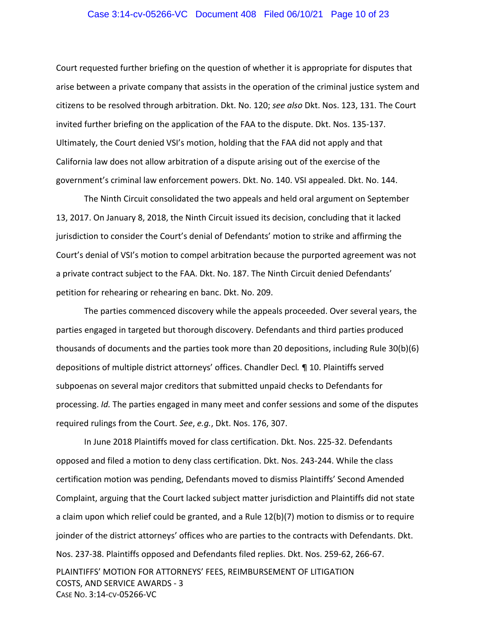## Case 3:14-cv-05266-VC Document 408 Filed 06/10/21 Page 10 of 23

Court requested further briefing on the question of whether it is appropriate for disputes that arise between a private company that assists in the operation of the criminal justice system and citizens to be resolved through arbitration. Dkt. No. 120; *see also* Dkt. Nos. 123, 131. The Court invited further briefing on the application of the FAA to the dispute. Dkt. Nos. 135‐137. Ultimately, the Court denied VSI's motion, holding that the FAA did not apply and that California law does not allow arbitration of a dispute arising out of the exercise of the government's criminal law enforcement powers. Dkt. No. 140. VSI appealed. Dkt. No. 144.

The Ninth Circuit consolidated the two appeals and held oral argument on September 13, 2017. On January 8, 2018, the Ninth Circuit issued its decision, concluding that it lacked jurisdiction to consider the Court's denial of Defendants' motion to strike and affirming the Court's denial of VSI's motion to compel arbitration because the purported agreement was not a private contract subject to the FAA. Dkt. No. 187. The Ninth Circuit denied Defendants' petition for rehearing or rehearing en banc. Dkt. No. 209.

The parties commenced discovery while the appeals proceeded. Over several years, the parties engaged in targeted but thorough discovery. Defendants and third parties produced thousands of documents and the parties took more than 20 depositions, including Rule 30(b)(6) depositions of multiple district attorneys' offices. Chandler Decl*.* ¶ 10. Plaintiffs served subpoenas on several major creditors that submitted unpaid checks to Defendants for processing. *Id.* The parties engaged in many meet and confer sessions and some of the disputes required rulings from the Court. *See*, *e.g.*, Dkt. Nos. 176, 307.

PLAINTIFFS' MOTION FOR ATTORNEYS' FEES, REIMBURSEMENT OF LITIGATION In June 2018 Plaintiffs moved for class certification. Dkt. Nos. 225‐32. Defendants opposed and filed a motion to deny class certification. Dkt. Nos. 243‐244. While the class certification motion was pending, Defendants moved to dismiss Plaintiffs' Second Amended Complaint, arguing that the Court lacked subject matter jurisdiction and Plaintiffs did not state a claim upon which relief could be granted, and a Rule 12(b)(7) motion to dismiss or to require joinder of the district attorneys' offices who are parties to the contracts with Defendants. Dkt. Nos. 237‐38. Plaintiffs opposed and Defendants filed replies. Dkt. Nos. 259‐62, 266‐67.

COSTS, AND SERVICE AWARDS ‐ 3 CASE NO. 3:14‐CV‐05266‐VC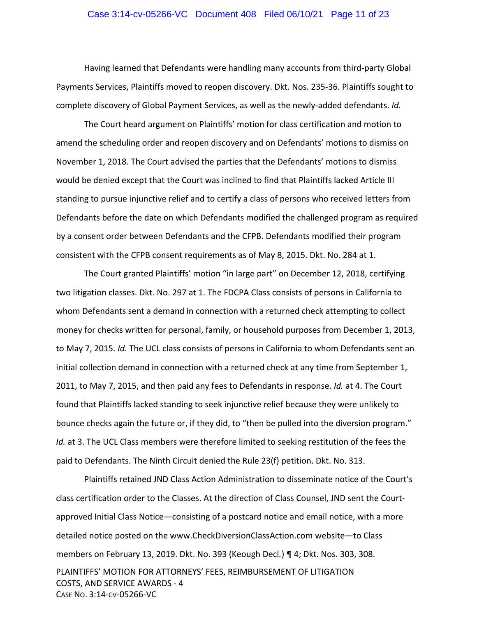## Case 3:14-cv-05266-VC Document 408 Filed 06/10/21 Page 11 of 23

Having learned that Defendants were handling many accounts from third‐party Global Payments Services, Plaintiffs moved to reopen discovery. Dkt. Nos. 235‐36. Plaintiffs sought to complete discovery of Global Payment Services, as well as the newly‐added defendants. *Id.*

The Court heard argument on Plaintiffs' motion for class certification and motion to amend the scheduling order and reopen discovery and on Defendants' motions to dismiss on November 1, 2018. The Court advised the parties that the Defendants' motions to dismiss would be denied except that the Court was inclined to find that Plaintiffs lacked Article III standing to pursue injunctive relief and to certify a class of persons who received letters from Defendants before the date on which Defendants modified the challenged program as required by a consent order between Defendants and the CFPB. Defendants modified their program consistent with the CFPB consent requirements as of May 8, 2015. Dkt. No. 284 at 1.

The Court granted Plaintiffs' motion "in large part" on December 12, 2018, certifying two litigation classes. Dkt. No. 297 at 1. The FDCPA Class consists of persons in California to whom Defendants sent a demand in connection with a returned check attempting to collect money for checks written for personal, family, or household purposes from December 1, 2013, to May 7, 2015. *Id.* The UCL class consists of persons in California to whom Defendants sent an initial collection demand in connection with a returned check at any time from September 1, 2011, to May 7, 2015, and then paid any fees to Defendants in response. *Id.* at 4. The Court found that Plaintiffs lacked standing to seek injunctive relief because they were unlikely to bounce checks again the future or, if they did, to "then be pulled into the diversion program." *Id.* at 3. The UCL Class members were therefore limited to seeking restitution of the fees the paid to Defendants. The Ninth Circuit denied the Rule 23(f) petition. Dkt. No. 313.

PLAINTIFFS' MOTION FOR ATTORNEYS' FEES, REIMBURSEMENT OF LITIGATION COSTS, AND SERVICE AWARDS ‐ 4 CASE NO. 3:14‐CV‐05266‐VC Plaintiffs retained JND Class Action Administration to disseminate notice of the Court's class certification order to the Classes. At the direction of Class Counsel, JND sent the Court‐ approved Initial Class Notice—consisting of a postcard notice and email notice, with a more detailed notice posted on the www.CheckDiversionClassAction.com website—to Class members on February 13, 2019. Dkt. No. 393 (Keough Decl*.*) ¶ 4; Dkt. Nos. 303, 308.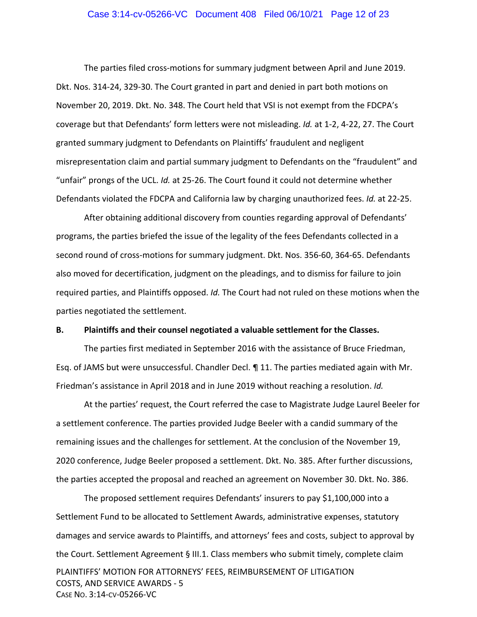## Case 3:14-cv-05266-VC Document 408 Filed 06/10/21 Page 12 of 23

The parties filed cross‐motions for summary judgment between April and June 2019. Dkt. Nos. 314‐24, 329‐30. The Court granted in part and denied in part both motions on November 20, 2019. Dkt. No. 348. The Court held that VSI is not exempt from the FDCPA's coverage but that Defendants' form letters were not misleading. *Id.* at 1‐2, 4‐22, 27. The Court granted summary judgment to Defendants on Plaintiffs' fraudulent and negligent misrepresentation claim and partial summary judgment to Defendants on the "fraudulent" and "unfair" prongs of the UCL. *Id.* at 25‐26. The Court found it could not determine whether Defendants violated the FDCPA and California law by charging unauthorized fees. *Id.* at 22‐25.

After obtaining additional discovery from counties regarding approval of Defendants' programs, the parties briefed the issue of the legality of the fees Defendants collected in a second round of cross‐motions for summary judgment. Dkt. Nos. 356‐60, 364‐65. Defendants also moved for decertification, judgment on the pleadings, and to dismiss for failure to join required parties, and Plaintiffs opposed. *Id.* The Court had not ruled on these motions when the parties negotiated the settlement.

## **B. Plaintiffs and their counsel negotiated a valuable settlement for the Classes.**

The parties first mediated in September 2016 with the assistance of Bruce Friedman, Esq. of JAMS but were unsuccessful. Chandler Decl. ¶ 11. The parties mediated again with Mr. Friedman's assistance in April 2018 and in June 2019 without reaching a resolution. *Id.*

At the parties' request, the Court referred the case to Magistrate Judge Laurel Beeler for a settlement conference. The parties provided Judge Beeler with a candid summary of the remaining issues and the challenges for settlement. At the conclusion of the November 19, 2020 conference, Judge Beeler proposed a settlement. Dkt. No. 385. After further discussions, the parties accepted the proposal and reached an agreement on November 30. Dkt. No. 386.

PLAINTIFFS' MOTION FOR ATTORNEYS' FEES, REIMBURSEMENT OF LITIGATION COSTS, AND SERVICE AWARDS ‐ 5 CASE NO. 3:14‐CV‐05266‐VC The proposed settlement requires Defendants' insurers to pay \$1,100,000 into a Settlement Fund to be allocated to Settlement Awards, administrative expenses, statutory damages and service awards to Plaintiffs, and attorneys' fees and costs, subject to approval by the Court. Settlement Agreement § III.1. Class members who submit timely, complete claim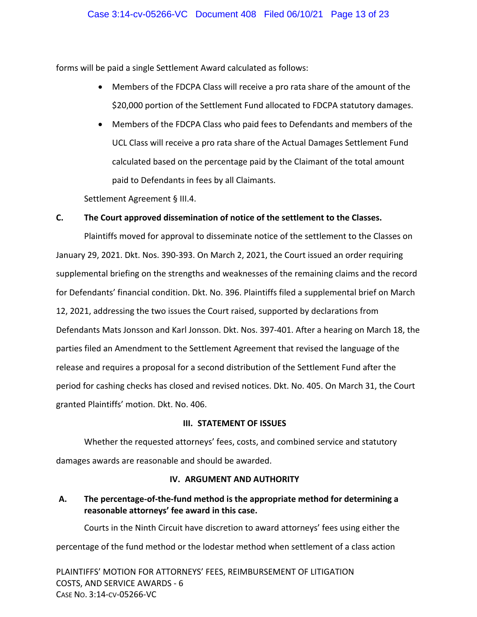## Case 3:14-cv-05266-VC Document 408 Filed 06/10/21 Page 13 of 23

forms will be paid a single Settlement Award calculated as follows:

- Members of the FDCPA Class will receive a pro rata share of the amount of the \$20,000 portion of the Settlement Fund allocated to FDCPA statutory damages.
- Members of the FDCPA Class who paid fees to Defendants and members of the UCL Class will receive a pro rata share of the Actual Damages Settlement Fund calculated based on the percentage paid by the Claimant of the total amount paid to Defendants in fees by all Claimants.

Settlement Agreement § III.4.

## **C. The Court approved dissemination of notice of the settlement to the Classes.**

Plaintiffs moved for approval to disseminate notice of the settlement to the Classes on January 29, 2021. Dkt. Nos. 390‐393. On March 2, 2021, the Court issued an order requiring supplemental briefing on the strengths and weaknesses of the remaining claims and the record for Defendants' financial condition. Dkt. No. 396. Plaintiffs filed a supplemental brief on March 12, 2021, addressing the two issues the Court raised, supported by declarations from Defendants Mats Jonsson and Karl Jonsson. Dkt. Nos. 397‐401. After a hearing on March 18, the parties filed an Amendment to the Settlement Agreement that revised the language of the release and requires a proposal for a second distribution of the Settlement Fund after the period for cashing checks has closed and revised notices. Dkt. No. 405. On March 31, the Court granted Plaintiffs' motion. Dkt. No. 406.

## **III. STATEMENT OF ISSUES**

Whether the requested attorneys' fees, costs, and combined service and statutory damages awards are reasonable and should be awarded.

## **IV. ARGUMENT AND AUTHORITY**

# **A. The percentage‐of‐the‐fund method is the appropriate method for determining a reasonable attorneys' fee award in this case.**

Courts in the Ninth Circuit have discretion to award attorneys' fees using either the percentage of the fund method or the lodestar method when settlement of a class action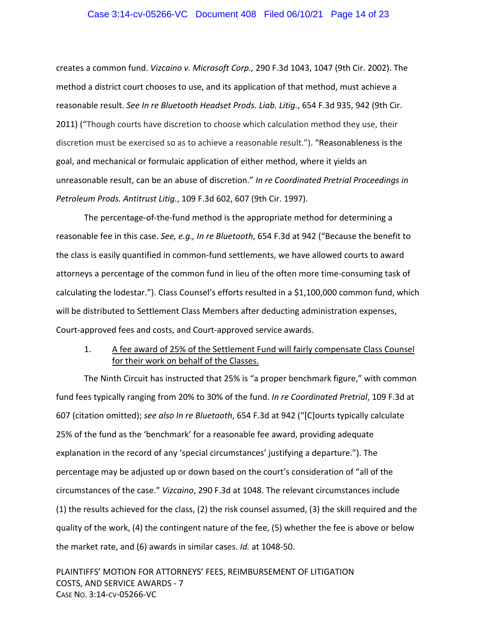### Case 3:14-cv-05266-VC Document 408 Filed 06/10/21 Page 14 of 23

creates a common fund. *Vizcaino v. Microsoft Corp.,* 290 F.3d 1043, 1047 (9th Cir. 2002). The method a district court chooses to use, and its application of that method, must achieve a reasonable result. *See In re Bluetooth Headset Prods. Liab. Litig.*, 654 F.3d 935, 942 (9th Cir. 2011) ("Though courts have discretion to choose which calculation method they use, their discretion must be exercised so as to achieve a reasonable result."). "Reasonableness is the goal, and mechanical or formulaic application of either method, where it yields an unreasonable result, can be an abuse of discretion." *In re Coordinated Pretrial Proceedings in Petroleum Prods. Antitrust Litig.*, 109 F.3d 602, 607 (9th Cir. 1997).

The percentage‐of‐the‐fund method is the appropriate method for determining a reasonable fee in this case. *See, e.g., In re Bluetooth*, 654 F.3d at 942 ("Because the benefit to the class is easily quantified in common‐fund settlements, we have allowed courts to award attorneys a percentage of the common fund in lieu of the often more time‐consuming task of calculating the lodestar."). Class Counsel's efforts resulted in a \$1,100,000 common fund, which will be distributed to Settlement Class Members after deducting administration expenses, Court‐approved fees and costs, and Court‐approved service awards.

1. A fee award of 25% of the Settlement Fund will fairly compensate Class Counsel for their work on behalf of the Classes.

The Ninth Circuit has instructed that 25% is "a proper benchmark figure," with common fund fees typically ranging from 20% to 30% of the fund. *In re Coordinated Pretrial*, 109 F.3d at 607 (citation omitted); *see also In re Bluetooth*, 654 F.3d at 942 ("[C]ourts typically calculate 25% of the fund as the 'benchmark' for a reasonable fee award, providing adequate explanation in the record of any 'special circumstances' justifying a departure."). The percentage may be adjusted up or down based on the court's consideration of "all of the circumstances of the case." *Vizcaino*, 290 F.3d at 1048. The relevant circumstances include (1) the results achieved for the class, (2) the risk counsel assumed, (3) the skill required and the quality of the work, (4) the contingent nature of the fee, (5) whether the fee is above or below the market rate, and (6) awards in similar cases. *Id.* at 1048‐50.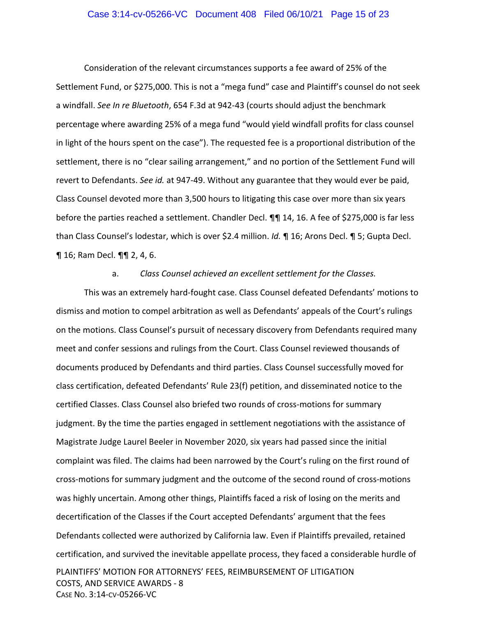## Case 3:14-cv-05266-VC Document 408 Filed 06/10/21 Page 15 of 23

Consideration of the relevant circumstances supports a fee award of 25% of the Settlement Fund, or \$275,000. This is not a "mega fund" case and Plaintiff's counsel do not seek a windfall. *See In re Bluetooth*, 654 F.3d at 942‐43 (courts should adjust the benchmark percentage where awarding 25% of a mega fund "would yield windfall profits for class counsel in light of the hours spent on the case"). The requested fee is a proportional distribution of the settlement, there is no "clear sailing arrangement," and no portion of the Settlement Fund will revert to Defendants. *See id.* at 947‐49. Without any guarantee that they would ever be paid, Class Counsel devoted more than 3,500 hours to litigating this case over more than six years before the parties reached a settlement. Chandler Decl. **¶** 14, 16. A fee of \$275,000 is far less than Class Counsel's lodestar, which is over \$2.4 million. *Id.* ¶ 16; Arons Decl. ¶ 5; Gupta Decl. ¶ 16; Ram Decl. ¶¶ 2, 4, 6.

## a. *Class Counsel achieved an excellent settlement for the Classes.*

PLAINTIFFS' MOTION FOR ATTORNEYS' FEES, REIMBURSEMENT OF LITIGATION COSTS, AND SERVICE AWARDS ‐ 8 CASE NO. 3:14‐CV‐05266‐VC This was an extremely hard‐fought case. Class Counsel defeated Defendants' motions to dismiss and motion to compel arbitration as well as Defendants' appeals of the Court's rulings on the motions. Class Counsel's pursuit of necessary discovery from Defendants required many meet and confer sessions and rulings from the Court. Class Counsel reviewed thousands of documents produced by Defendants and third parties. Class Counsel successfully moved for class certification, defeated Defendants' Rule 23(f) petition, and disseminated notice to the certified Classes. Class Counsel also briefed two rounds of cross‐motions for summary judgment. By the time the parties engaged in settlement negotiations with the assistance of Magistrate Judge Laurel Beeler in November 2020, six years had passed since the initial complaint was filed. The claims had been narrowed by the Court's ruling on the first round of cross‐motions for summary judgment and the outcome of the second round of cross‐motions was highly uncertain. Among other things, Plaintiffs faced a risk of losing on the merits and decertification of the Classes if the Court accepted Defendants' argument that the fees Defendants collected were authorized by California law. Even if Plaintiffs prevailed, retained certification, and survived the inevitable appellate process, they faced a considerable hurdle of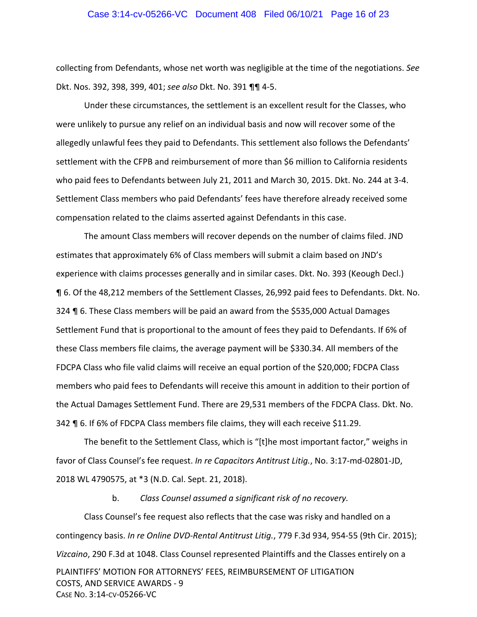## Case 3:14-cv-05266-VC Document 408 Filed 06/10/21 Page 16 of 23

collecting from Defendants, whose net worth was negligible at the time of the negotiations. *See* Dkt. Nos. 392, 398, 399, 401; *see also* Dkt. No. 391 ¶¶ 4‐5.

Under these circumstances, the settlement is an excellent result for the Classes, who were unlikely to pursue any relief on an individual basis and now will recover some of the allegedly unlawful fees they paid to Defendants. This settlement also follows the Defendants' settlement with the CFPB and reimbursement of more than \$6 million to California residents who paid fees to Defendants between July 21, 2011 and March 30, 2015. Dkt. No. 244 at 3‐4. Settlement Class members who paid Defendants' fees have therefore already received some compensation related to the claims asserted against Defendants in this case.

The amount Class members will recover depends on the number of claims filed. JND estimates that approximately 6% of Class members will submit a claim based on JND's experience with claims processes generally and in similar cases. Dkt. No. 393 (Keough Decl.) ¶ 6. Of the 48,212 members of the Settlement Classes, 26,992 paid fees to Defendants. Dkt. No. 324 ¶ 6. These Class members will be paid an award from the \$535,000 Actual Damages Settlement Fund that is proportional to the amount of fees they paid to Defendants. If 6% of these Class members file claims, the average payment will be \$330.34. All members of the FDCPA Class who file valid claims will receive an equal portion of the \$20,000; FDCPA Class members who paid fees to Defendants will receive this amount in addition to their portion of the Actual Damages Settlement Fund. There are 29,531 members of the FDCPA Class. Dkt. No. 342 ¶ 6. If 6% of FDCPA Class members file claims, they will each receive \$11.29.

The benefit to the Settlement Class, which is "[t]he most important factor," weighs in favor of Class Counsel's fee request. *In re Capacitors Antitrust Litig.*, No. 3:17‐md‐02801‐JD, 2018 WL 4790575, at \*3 (N.D. Cal. Sept. 21, 2018).

b. *Class Counsel assumed a significant risk of no recovery.* 

PLAINTIFFS' MOTION FOR ATTORNEYS' FEES, REIMBURSEMENT OF LITIGATION COSTS, AND SERVICE AWARDS ‐ 9 CASE NO. 3:14‐CV‐05266‐VC Class Counsel's fee request also reflects that the case was risky and handled on a contingency basis. *In re Online DVD‐Rental Antitrust Litig.*, 779 F.3d 934, 954‐55 (9th Cir. 2015); *Vizcaino*, 290 F.3d at 1048. Class Counsel represented Plaintiffs and the Classes entirely on a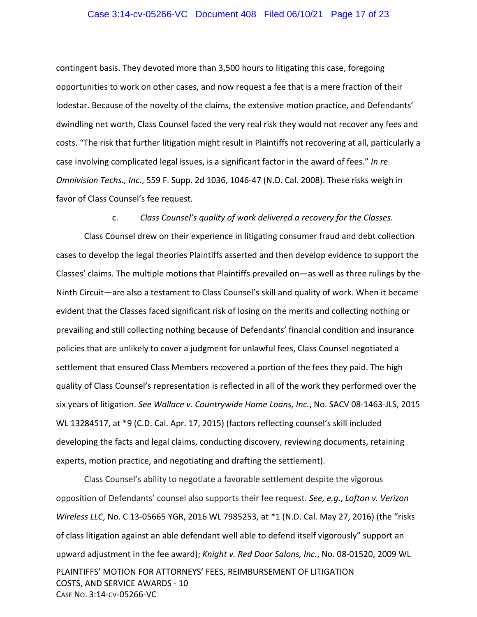## Case 3:14-cv-05266-VC Document 408 Filed 06/10/21 Page 17 of 23

contingent basis. They devoted more than 3,500 hours to litigating this case, foregoing opportunities to work on other cases, and now request a fee that is a mere fraction of their lodestar. Because of the novelty of the claims, the extensive motion practice, and Defendants' dwindling net worth, Class Counsel faced the very real risk they would not recover any fees and costs. "The risk that further litigation might result in Plaintiffs not recovering at all, particularly a case involving complicated legal issues, is a significant factor in the award of fees." *In re Omnivision Techs., Inc*., 559 F. Supp. 2d 1036, 1046‐47 (N.D. Cal. 2008). These risks weigh in favor of Class Counsel's fee request.

## c. *Class Counsel's quality of work delivered a recovery for the Classes.*

Class Counsel drew on their experience in litigating consumer fraud and debt collection cases to develop the legal theories Plaintiffs asserted and then develop evidence to support the Classes' claims. The multiple motions that Plaintiffs prevailed on—as well as three rulings by the Ninth Circuit—are also a testament to Class Counsel's skill and quality of work. When it became evident that the Classes faced significant risk of losing on the merits and collecting nothing or prevailing and still collecting nothing because of Defendants' financial condition and insurance policies that are unlikely to cover a judgment for unlawful fees, Class Counsel negotiated a settlement that ensured Class Members recovered a portion of the fees they paid. The high quality of Class Counsel's representation is reflected in all of the work they performed over the six years of litigation. *See Wallace v. Countrywide Home Loans, Inc.*, No. SACV 08‐1463‐JLS, 2015 WL 13284517, at \*9 (C.D. Cal. Apr. 17, 2015) (factors reflecting counsel's skill included developing the facts and legal claims, conducting discovery, reviewing documents, retaining experts, motion practice, and negotiating and drafting the settlement).

PLAINTIFFS' MOTION FOR ATTORNEYS' FEES, REIMBURSEMENT OF LITIGATION COSTS, AND SERVICE AWARDS ‐ 10 CASE NO. 3:14‐CV‐05266‐VC Class Counsel's ability to negotiate a favorable settlement despite the vigorous opposition of Defendants' counsel also supports their fee request. *See, e.g.*, *Lofton v. Verizon Wireless LLC*, No. C 13‐05665 YGR, 2016 WL 7985253, at \*1 (N.D. Cal. May 27, 2016) (the "risks of class litigation against an able defendant well able to defend itself vigorously" support an upward adjustment in the fee award); *Knight v. Red Door Salons, Inc.*, No. 08‐01520, 2009 WL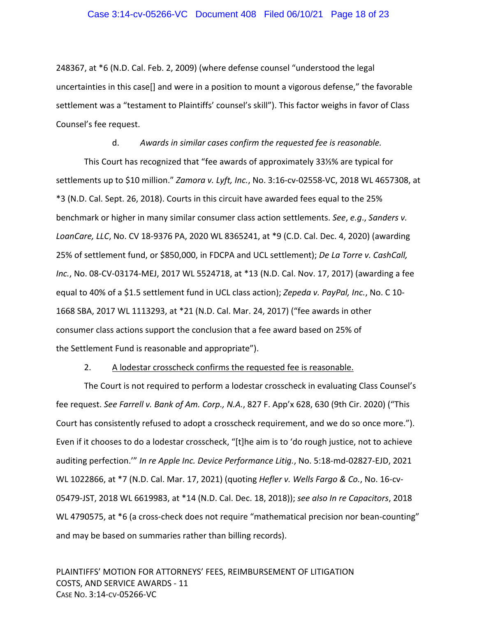248367, at \*6 (N.D. Cal. Feb. 2, 2009) (where defense counsel "understood the legal uncertainties in this case[] and were in a position to mount a vigorous defense," the favorable settlement was a "testament to Plaintiffs' counsel's skill"). This factor weighs in favor of Class Counsel's fee request.

d. *Awards in similar cases confirm the requested fee is reasonable.*  This Court has recognized that "fee awards of approximately 33⅓% are typical for settlements up to \$10 million." *Zamora v. Lyft, Inc.*, No. 3:16‐cv‐02558‐VC, 2018 WL 4657308, at \*3 (N.D. Cal. Sept. 26, 2018). Courts in this circuit have awarded fees equal to the 25% benchmark or higher in many similar consumer class action settlements. *See*, *e.g*., *Sanders v. LoanCare, LLC*, No. CV 18‐9376 PA, 2020 WL 8365241, at \*9 (C.D. Cal. Dec. 4, 2020) (awarding 25% of settlement fund, or \$850,000, in FDCPA and UCL settlement); *De La Torre v. CashCall, Inc.*, No. 08‐CV‐03174‐MEJ, 2017 WL 5524718, at \*13 (N.D. Cal. Nov. 17, 2017) (awarding a fee equal to 40% of a \$1.5 settlement fund in UCL class action); *Zepeda v. PayPal, Inc.*, No. C 10‐ 1668 SBA, 2017 WL 1113293, at \*21 (N.D. Cal. Mar. 24, 2017) ("fee awards in other consumer class actions support the conclusion that a fee award based on 25% of the Settlement Fund is reasonable and appropriate").

#### 2. A lodestar crosscheck confirms the requested fee is reasonable.

The Court is not required to perform a lodestar crosscheck in evaluating Class Counsel's fee request. *See Farrell v. Bank of Am. Corp., N.A.*, 827 F. App'x 628, 630 (9th Cir. 2020) ("This Court has consistently refused to adopt a crosscheck requirement, and we do so once more."). Even if it chooses to do a lodestar crosscheck, "[t]he aim is to 'do rough justice, not to achieve auditing perfection.'" *In re Apple Inc. Device Performance Litig.*, No. 5:18‐md‐02827‐EJD, 2021 WL 1022866, at \*7 (N.D. Cal. Mar. 17, 2021) (quoting *Hefler v. Wells Fargo & Co.*, No. 16‐cv‐ 05479‐JST, 2018 WL 6619983, at \*14 (N.D. Cal. Dec. 18, 2018)); *see also In re Capacitors*, 2018 WL 4790575, at \*6 (a cross-check does not require "mathematical precision nor bean-counting" and may be based on summaries rather than billing records).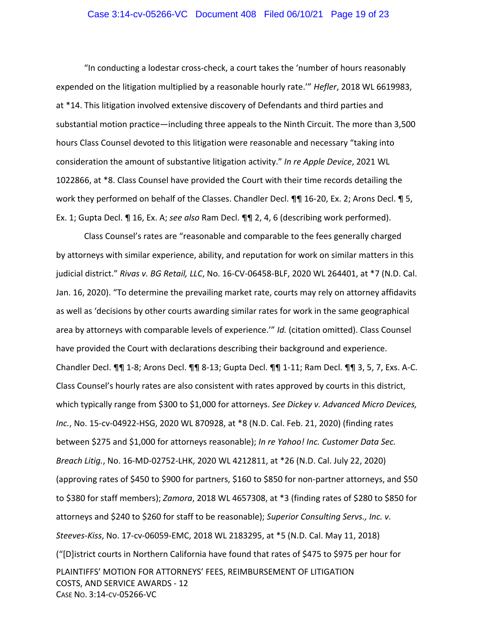## Case 3:14-cv-05266-VC Document 408 Filed 06/10/21 Page 19 of 23

"In conducting a lodestar cross‐check, a court takes the 'number of hours reasonably expended on the litigation multiplied by a reasonable hourly rate.'" *Hefler*, 2018 WL 6619983, at \*14. This litigation involved extensive discovery of Defendants and third parties and substantial motion practice—including three appeals to the Ninth Circuit. The more than 3,500 hours Class Counsel devoted to this litigation were reasonable and necessary "taking into consideration the amount of substantive litigation activity." *In re Apple Device*, 2021 WL 1022866, at \*8. Class Counsel have provided the Court with their time records detailing the work they performed on behalf of the Classes. Chandler Decl.  $\P$  16-20, Ex. 2; Arons Decl.  $\P$  5, Ex. 1; Gupta Decl. ¶ 16, Ex. A; *see also* Ram Decl. ¶¶ 2, 4, 6 (describing work performed).

PLAINTIFFS' MOTION FOR ATTORNEYS' FEES, REIMBURSEMENT OF LITIGATION COSTS, AND SERVICE AWARDS ‐ 12 CASE NO. 3:14‐CV‐05266‐VC Class Counsel's rates are "reasonable and comparable to the fees generally charged by attorneys with similar experience, ability, and reputation for work on similar matters in this judicial district." *Rivas v. BG Retail, LLC*, No. 16‐CV‐06458‐BLF, 2020 WL 264401, at \*7 (N.D. Cal. Jan. 16, 2020). "To determine the prevailing market rate, courts may rely on attorney affidavits as well as 'decisions by other courts awarding similar rates for work in the same geographical area by attorneys with comparable levels of experience.'" *Id.* (citation omitted). Class Counsel have provided the Court with declarations describing their background and experience. Chandler Decl. ¶¶ 1‐8; Arons Decl. ¶¶ 8‐13; Gupta Decl. ¶¶ 1‐11; Ram Decl. ¶¶ 3, 5, 7, Exs. A‐C. Class Counsel's hourly rates are also consistent with rates approved by courts in this district, which typically range from \$300 to \$1,000 for attorneys. *See Dickey v. Advanced Micro Devices, Inc.*, No. 15‐cv‐04922‐HSG, 2020 WL 870928, at \*8 (N.D. Cal. Feb. 21, 2020) (finding rates between \$275 and \$1,000 for attorneys reasonable); *In re Yahoo! Inc. Customer Data Sec. Breach Litig.*, No. 16‐MD‐02752‐LHK, 2020 WL 4212811, at \*26 (N.D. Cal. July 22, 2020) (approving rates of \$450 to \$900 for partners, \$160 to \$850 for non‐partner attorneys, and \$50 to \$380 for staff members); *Zamora*, 2018 WL 4657308, at \*3 (finding rates of \$280 to \$850 for attorneys and \$240 to \$260 for staff to be reasonable); *Superior Consulting Servs., Inc. v. Steeves‐Kiss*, No. 17‐cv‐06059‐EMC, 2018 WL 2183295, at \*5 (N.D. Cal. May 11, 2018) ("[D]istrict courts in Northern California have found that rates of \$475 to \$975 per hour for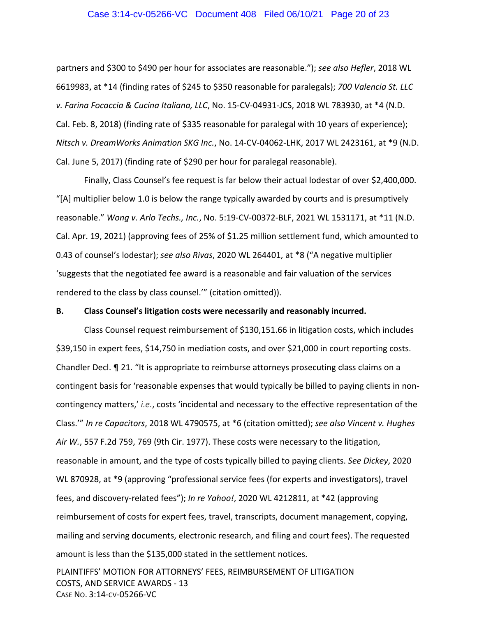## Case 3:14-cv-05266-VC Document 408 Filed 06/10/21 Page 20 of 23

partners and \$300 to \$490 per hour for associates are reasonable."); *see also Hefler*, 2018 WL 6619983, at \*14 (finding rates of \$245 to \$350 reasonable for paralegals); *700 Valencia St. LLC v. Farina Focaccia & Cucina Italiana, LLC*, No. 15‐CV‐04931‐JCS, 2018 WL 783930, at \*4 (N.D. Cal. Feb. 8, 2018) (finding rate of \$335 reasonable for paralegal with 10 years of experience); *Nitsch v. DreamWorks Animation SKG Inc.*, No. 14‐CV‐04062‐LHK, 2017 WL 2423161, at \*9 (N.D. Cal. June 5, 2017) (finding rate of \$290 per hour for paralegal reasonable).

Finally, Class Counsel's fee request is far below their actual lodestar of over \$2,400,000. "[A] multiplier below 1.0 is below the range typically awarded by courts and is presumptively reasonable." *Wong v. Arlo Techs., Inc.*, No. 5:19‐CV‐00372‐BLF, 2021 WL 1531171, at \*11 (N.D. Cal. Apr. 19, 2021) (approving fees of 25% of \$1.25 million settlement fund, which amounted to 0.43 of counsel's lodestar); *see also Rivas*, 2020 WL 264401, at \*8 ("A negative multiplier 'suggests that the negotiated fee award is a reasonable and fair valuation of the services rendered to the class by class counsel.'" (citation omitted)).

#### **B. Class Counsel's litigation costs were necessarily and reasonably incurred.**

Class Counsel request reimbursement of \$130,151.66 in litigation costs, which includes \$39,150 in expert fees, \$14,750 in mediation costs, and over \$21,000 in court reporting costs. Chandler Decl. ¶ 21. "It is appropriate to reimburse attorneys prosecuting class claims on a contingent basis for 'reasonable expenses that would typically be billed to paying clients in non‐ contingency matters,' *i.e.*, costs 'incidental and necessary to the effective representation of the Class.'" *In re Capacitors*, 2018 WL 4790575, at \*6 (citation omitted); *see also Vincent v. Hughes Air W.*, 557 F.2d 759, 769 (9th Cir. 1977). These costs were necessary to the litigation, reasonable in amount, and the type of costs typically billed to paying clients. *See Dickey*, 2020 WL 870928, at \*9 (approving "professional service fees (for experts and investigators), travel fees, and discovery‐related fees"); *In re Yahoo!*, 2020 WL 4212811, at \*42 (approving reimbursement of costs for expert fees, travel, transcripts, document management, copying, mailing and serving documents, electronic research, and filing and court fees). The requested amount is less than the \$135,000 stated in the settlement notices.

PLAINTIFFS' MOTION FOR ATTORNEYS' FEES, REIMBURSEMENT OF LITIGATION COSTS, AND SERVICE AWARDS ‐ 13 CASE NO. 3:14‐CV‐05266‐VC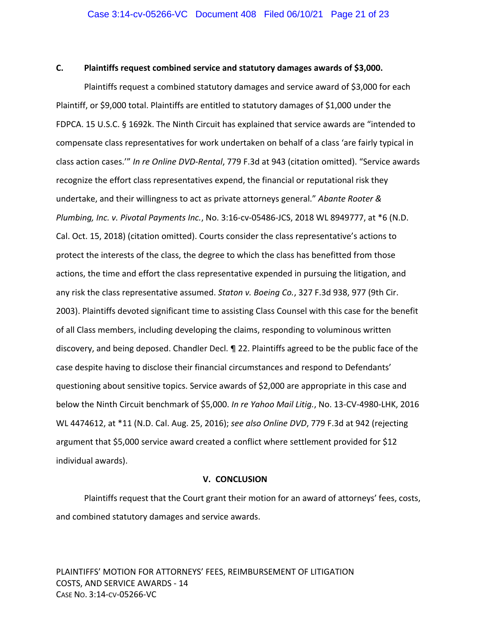### **C. Plaintiffs request combined service and statutory damages awards of \$3,000.**

Plaintiffs request a combined statutory damages and service award of \$3,000 for each Plaintiff, or \$9,000 total. Plaintiffs are entitled to statutory damages of \$1,000 under the FDPCA. 15 U.S.C. § 1692k. The Ninth Circuit has explained that service awards are "intended to compensate class representatives for work undertaken on behalf of a class 'are fairly typical in class action cases.'" *In re Online DVD‐Rental*, 779 F.3d at 943 (citation omitted). "Service awards recognize the effort class representatives expend, the financial or reputational risk they undertake, and their willingness to act as private attorneys general." *Abante Rooter & Plumbing, Inc. v. Pivotal Payments Inc.*, No. 3:16‐cv‐05486‐JCS, 2018 WL 8949777, at \*6 (N.D. Cal. Oct. 15, 2018) (citation omitted). Courts consider the class representative's actions to protect the interests of the class, the degree to which the class has benefitted from those actions, the time and effort the class representative expended in pursuing the litigation, and any risk the class representative assumed. *Staton v. Boeing Co.*, 327 F.3d 938, 977 (9th Cir. 2003). Plaintiffs devoted significant time to assisting Class Counsel with this case for the benefit of all Class members, including developing the claims, responding to voluminous written discovery, and being deposed. Chandler Decl. ¶ 22. Plaintiffs agreed to be the public face of the case despite having to disclose their financial circumstances and respond to Defendants' questioning about sensitive topics. Service awards of \$2,000 are appropriate in this case and below the Ninth Circuit benchmark of \$5,000. *In re Yahoo Mail Litig.*, No. 13‐CV‐4980‐LHK, 2016 WL 4474612, at \*11 (N.D. Cal. Aug. 25, 2016); *see also Online DVD*, 779 F.3d at 942 (rejecting argument that \$5,000 service award created a conflict where settlement provided for \$12 individual awards).

### **V. CONCLUSION**

Plaintiffs request that the Court grant their motion for an award of attorneys' fees, costs, and combined statutory damages and service awards.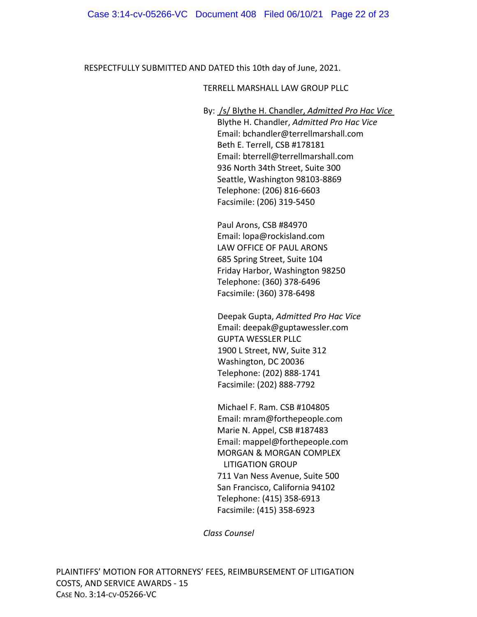RESPECTFULLY SUBMITTED AND DATED this 10th day of June, 2021.

## TERRELL MARSHALL LAW GROUP PLLC

By: /s/ Blythe H. Chandler, *Admitted Pro Hac Vice* Blythe H. Chandler, *Admitted Pro Hac Vice* Email: bchandler@terrellmarshall.com Beth E. Terrell, CSB #178181 Email: bterrell@terrellmarshall.com 936 North 34th Street, Suite 300 Seattle, Washington 98103‐8869 Telephone: (206) 816‐6603 Facsimile: (206) 319‐5450

Paul Arons, CSB #84970 Email: lopa@rockisland.com LAW OFFICE OF PAUL ARONS 685 Spring Street, Suite 104 Friday Harbor, Washington 98250 Telephone: (360) 378‐6496 Facsimile: (360) 378‐6498

Deepak Gupta, *Admitted Pro Hac Vice* Email: deepak@guptawessler.com GUPTA WESSLER PLLC 1900 L Street, NW, Suite 312 Washington, DC 20036 Telephone: (202) 888‐1741 Facsimile: (202) 888‐7792

Michael F. Ram. CSB #104805 Email: mram@forthepeople.com Marie N. Appel, CSB #187483 Email: mappel@forthepeople.com MORGAN & MORGAN COMPLEX LITIGATION GROUP 711 Van Ness Avenue, Suite 500 San Francisco, California 94102 Telephone: (415) 358‐6913 Facsimile: (415) 358‐6923

*Class Counsel*